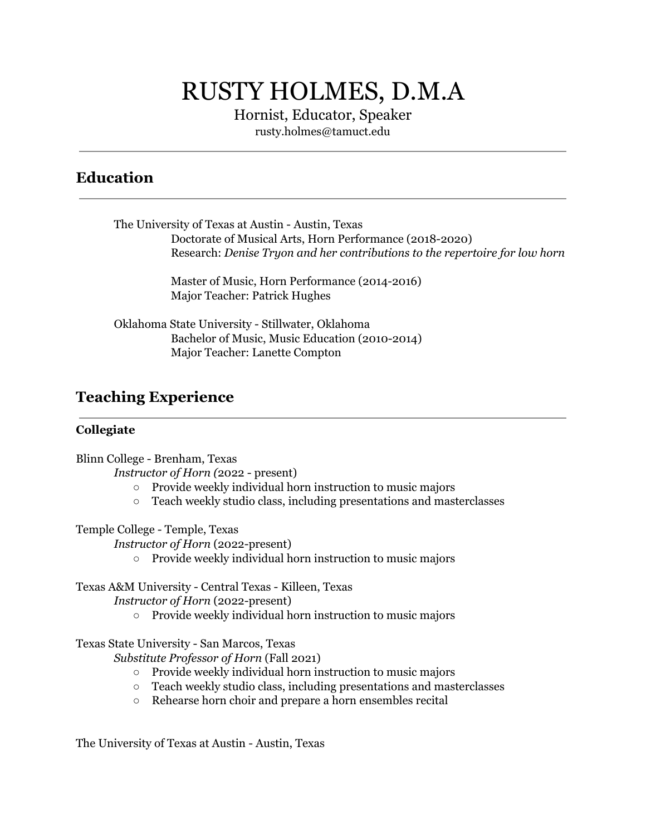# RUSTY HOLMES, D.M.A

Hornist, Educator, Speaker rusty.holmes@tamuct.edu

# **Education**

| The University of Texas at Austin - Austin, Texas<br>Doctorate of Musical Arts, Horn Performance (2018-2020)<br>Research: Denise Tryon and her contributions to the repertoire for low horn |
|---------------------------------------------------------------------------------------------------------------------------------------------------------------------------------------------|
| Master of Music, Horn Performance (2014-2016)<br>Major Teacher: Patrick Hughes                                                                                                              |
| Oklahoma State University - Stillwater, Oklahoma<br>Bachelor of Music, Music Education (2010-2014)<br>Major Teacher: Lanette Compton                                                        |

# **Teaching Experience**

### **Collegiate**

Blinn College - Brenham, Texas

*Instructor of Horn (*2022 - present)

- Provide weekly individual horn instruction to music majors
- Teach weekly studio class, including presentations and masterclasses

### Temple College - Temple, Texas

*Instructor of Horn* (2022-present)

○ Provide weekly individual horn instruction to music majors

### Texas A&M University - Central Texas - Killeen, Texas

*Instructor of Horn* (2022-present)

○ Provide weekly individual horn instruction to music majors

Texas State University - San Marcos, Texas

*Substitute Professor of Horn* (Fall 2021)

- Provide weekly individual horn instruction to music majors
- Teach weekly studio class, including presentations and masterclasses
- Rehearse horn choir and prepare a horn ensembles recital

The University of Texas at Austin - Austin, Texas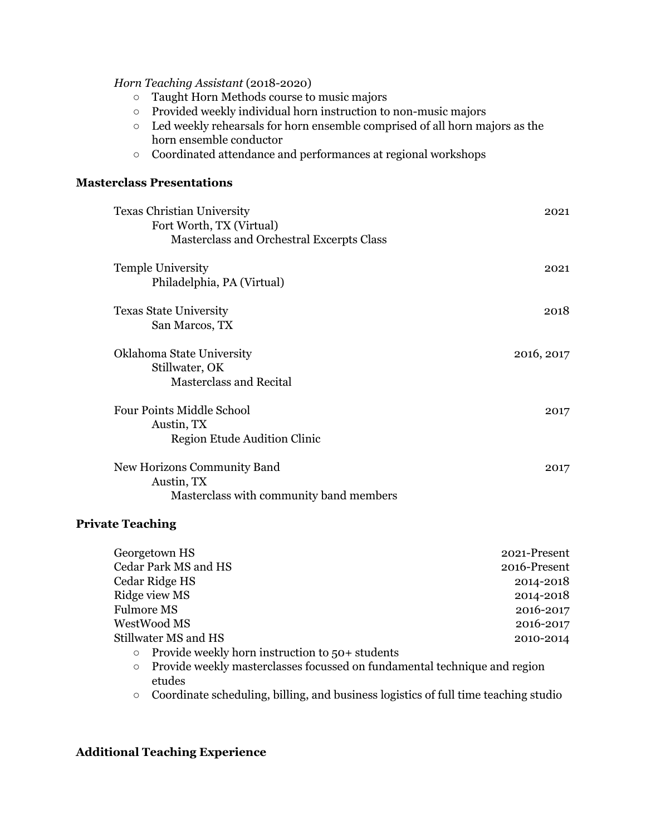*Horn Teaching Assistant* (2018-2020)

- Taught Horn Methods course to music majors
- Provided weekly individual horn instruction to non-music majors
- Led weekly rehearsals for horn ensemble comprised of all horn majors as the horn ensemble conductor
- Coordinated attendance and performances at regional workshops

### **Masterclass Presentations**

| <b>Texas Christian University</b><br>Fort Worth, TX (Virtual)<br>Masterclass and Orchestral Excerpts Class | 2021       |
|------------------------------------------------------------------------------------------------------------|------------|
| <b>Temple University</b><br>Philadelphia, PA (Virtual)                                                     | 2021       |
| <b>Texas State University</b><br>San Marcos, TX                                                            | 2018       |
| Oklahoma State University<br>Stillwater, OK<br><b>Masterclass and Recital</b>                              | 2016, 2017 |
| <b>Four Points Middle School</b><br>Austin, TX<br><b>Region Etude Audition Clinic</b>                      | 2017       |
| New Horizons Community Band<br>Austin, TX<br>Masterclass with community band members                       | 2017       |

#### **Private Teaching**

| Georgetown HS                                                                         | 2021-Present |  |
|---------------------------------------------------------------------------------------|--------------|--|
| Cedar Park MS and HS                                                                  | 2016-Present |  |
| Cedar Ridge HS                                                                        | 2014-2018    |  |
| Ridge view MS                                                                         | 2014-2018    |  |
| <b>Fulmore MS</b>                                                                     | 2016-2017    |  |
| WestWood MS<br>2016-2017                                                              |              |  |
| Stillwater MS and HS<br>2010-2014                                                     |              |  |
| Provide weekly horn instruction to 50+ students<br>$\circ$                            |              |  |
| Provide weekly master classes focussed on fundamental technique and region<br>$\circ$ |              |  |

etudes

○ Coordinate scheduling, billing, and business logistics of full time teaching studio

### **Additional Teaching Experience**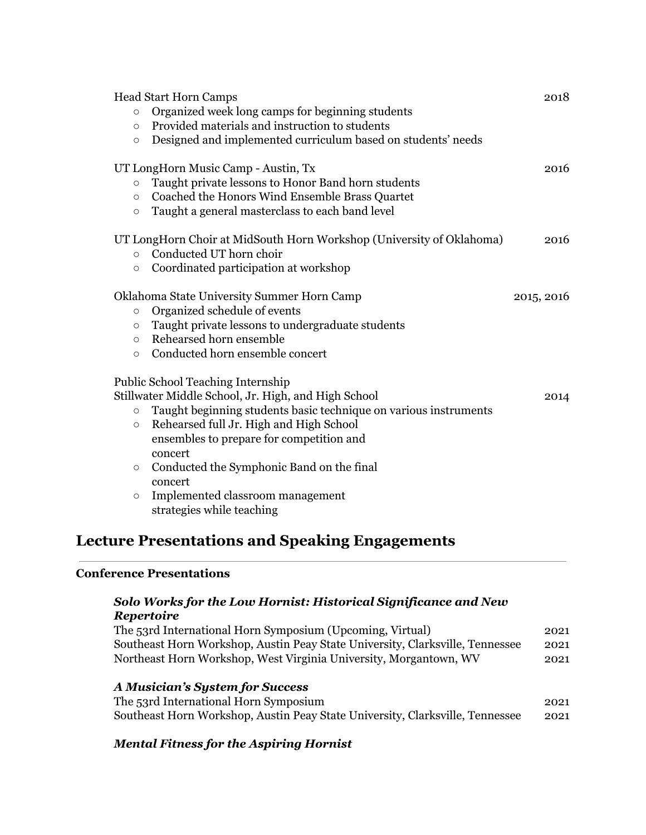| <b>Head Start Horn Camps</b>                                                | 2018       |
|-----------------------------------------------------------------------------|------------|
| Organized week long camps for beginning students<br>$\circ$                 |            |
| Provided materials and instruction to students<br>$\circ$                   |            |
| Designed and implemented curriculum based on students' needs<br>$\circ$     |            |
| UT LongHorn Music Camp - Austin, Tx                                         | 2016       |
| Taught private lessons to Honor Band horn students<br>$\circ$               |            |
| Coached the Honors Wind Ensemble Brass Quartet<br>$\circ$                   |            |
| Taught a general masterclass to each band level<br>$\circ$                  |            |
| UT LongHorn Choir at MidSouth Horn Workshop (University of Oklahoma)        | 2016       |
| Conducted UT horn choir<br>$\circ$                                          |            |
| Coordinated participation at workshop<br>$\circlearrowright$                |            |
| Oklahoma State University Summer Horn Camp                                  | 2015, 2016 |
| Organized schedule of events<br>$\circ$                                     |            |
| Taught private lessons to undergraduate students<br>$\circ$                 |            |
| Rehearsed horn ensemble<br>$\circ$                                          |            |
| Conducted horn ensemble concert<br>$\circ$                                  |            |
|                                                                             |            |
| <b>Public School Teaching Internship</b>                                    |            |
| Stillwater Middle School, Jr. High, and High School                         | 2014       |
| Taught beginning students basic technique on various instruments<br>$\circ$ |            |
| Rehearsed full Jr. High and High School<br>$\circ$                          |            |
| ensembles to prepare for competition and                                    |            |
| concert                                                                     |            |
| Conducted the Symphonic Band on the final<br>$\circ$                        |            |
| concert                                                                     |            |
| Implemented classroom management<br>$\circ$<br>strategies while teaching    |            |

# **Lecture Presentations and Speaking Engagements**

# **Conference Presentations**

| Solo Works for the Low Hornist: Historical Significance and New |  |
|-----------------------------------------------------------------|--|
| <b>Repertoire</b>                                               |  |

| The 53rd International Horn Symposium (Upcoming, Virtual)                     | 2021 |
|-------------------------------------------------------------------------------|------|
| Southeast Horn Workshop, Austin Peay State University, Clarksville, Tennessee | 2021 |
| Northeast Horn Workshop, West Virginia University, Morgantown, WV             | 2021 |

| A Musician's System for Success                                               |      |
|-------------------------------------------------------------------------------|------|
| The 53rd International Horn Symposium                                         | 2021 |
| Southeast Horn Workshop, Austin Peay State University, Clarksville, Tennessee | 2021 |

### *Mental Fitness for the Aspiring Hornist*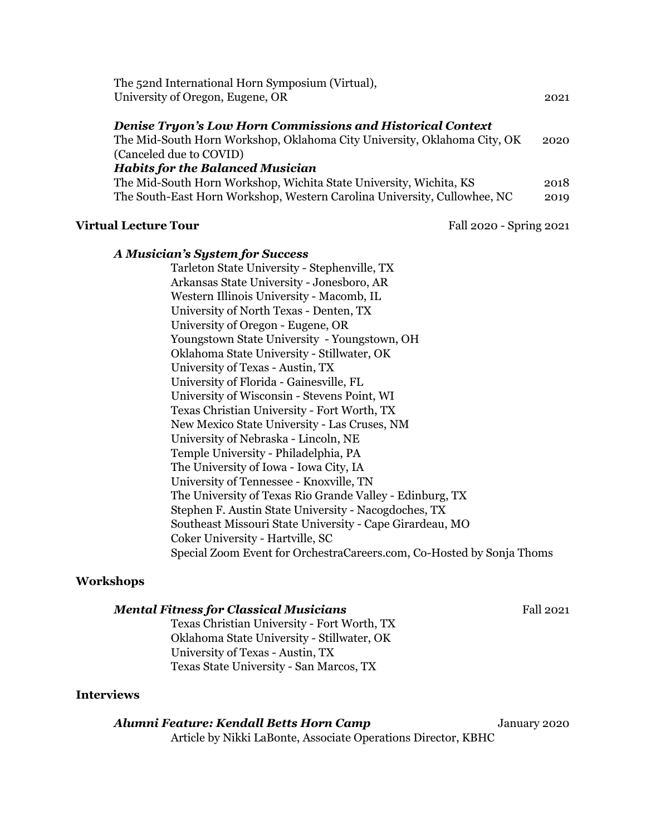|                             | The 52nd International Horn Symposium (Virtual),                                                                                                                                                                                                                                                                                                                                                                                                                                                                                                                                                                                                                                                                                                                                                                                                                                                                                                                                                                                                     |                      |
|-----------------------------|------------------------------------------------------------------------------------------------------------------------------------------------------------------------------------------------------------------------------------------------------------------------------------------------------------------------------------------------------------------------------------------------------------------------------------------------------------------------------------------------------------------------------------------------------------------------------------------------------------------------------------------------------------------------------------------------------------------------------------------------------------------------------------------------------------------------------------------------------------------------------------------------------------------------------------------------------------------------------------------------------------------------------------------------------|----------------------|
|                             | University of Oregon, Eugene, OR                                                                                                                                                                                                                                                                                                                                                                                                                                                                                                                                                                                                                                                                                                                                                                                                                                                                                                                                                                                                                     | 2021                 |
|                             | <b>Denise Tryon's Low Horn Commissions and Historical Context</b><br>The Mid-South Horn Workshop, Oklahoma City University, Oklahoma City, OK<br>(Canceled due to COVID)<br><b>Habits for the Balanced Musician</b><br>The Mid-South Horn Workshop, Wichita State University, Wichita, KS<br>The South-East Horn Workshop, Western Carolina University, Cullowhee, NC                                                                                                                                                                                                                                                                                                                                                                                                                                                                                                                                                                                                                                                                                | 2020<br>2018<br>2019 |
| <b>Virtual Lecture Tour</b> | Fall 2020 - Spring 2021                                                                                                                                                                                                                                                                                                                                                                                                                                                                                                                                                                                                                                                                                                                                                                                                                                                                                                                                                                                                                              |                      |
|                             | A Musician's System for Success<br>Tarleton State University - Stephenville, TX<br>Arkansas State University - Jonesboro, AR<br>Western Illinois University - Macomb, IL<br>University of North Texas - Denten, TX<br>University of Oregon - Eugene, OR<br>Youngstown State University - Youngstown, OH<br>Oklahoma State University - Stillwater, OK<br>University of Texas - Austin, TX<br>University of Florida - Gainesville, FL<br>University of Wisconsin - Stevens Point, WI<br>Texas Christian University - Fort Worth, TX<br>New Mexico State University - Las Cruses, NM<br>University of Nebraska - Lincoln, NE<br>Temple University - Philadelphia, PA<br>The University of Iowa - Iowa City, IA<br>University of Tennessee - Knoxville, TN<br>The University of Texas Rio Grande Valley - Edinburg, TX<br>Stephen F. Austin State University - Nacogdoches, TX<br>Southeast Missouri State University - Cape Girardeau, MO<br>Coker University - Hartville, SC<br>Special Zoom Event for OrchestraCareers.com, Co-Hosted by Sonja Thoms |                      |

## **Workshops**

| <b>Mental Fitness for Classical Musicians</b> | Fall 2021 |
|-----------------------------------------------|-----------|
| Texas Christian University - Fort Worth, TX   |           |
| Oklahoma State University - Stillwater, OK    |           |
| University of Texas - Austin, TX              |           |
| Texas State University - San Marcos, TX       |           |
|                                               |           |

### **Interviews**

*Alumni Feature: Kendall Betts Horn Camp* January 2020 Article by Nikki LaBonte, Associate Operations Director, KBHC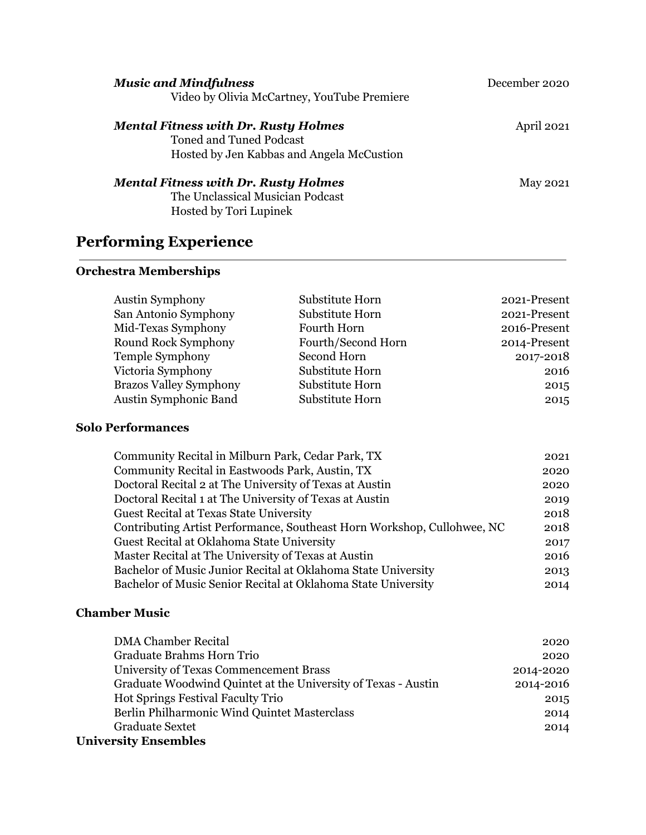| <b>Music and Mindfulness</b>                | December 2020 |
|---------------------------------------------|---------------|
| Video by Olivia McCartney, YouTube Premiere |               |
| <b>Mental Fitness with Dr. Rusty Holmes</b> | April 2021    |
| <b>Toned and Tuned Podcast</b>              |               |
| Hosted by Jen Kabbas and Angela McCustion   |               |
| <b>Mental Fitness with Dr. Rusty Holmes</b> | May 2021      |
| The Unclassical Musician Podcast            |               |
| <b>Hosted by Tori Lupinek</b>               |               |

# **Performing Experience**

# **Orchestra Memberships**

| Substitute Horn    | 2021-Present |
|--------------------|--------------|
| Substitute Horn    | 2021-Present |
| Fourth Horn        | 2016-Present |
| Fourth/Second Horn | 2014-Present |
| Second Horn        | 2017-2018    |
| Substitute Horn    | 2016         |
| Substitute Horn    | 2015         |
| Substitute Horn    | 2015         |
|                    |              |

### **Solo Performances**

| Community Recital in Milburn Park, Cedar Park, TX                       | 2021 |
|-------------------------------------------------------------------------|------|
| Community Recital in Eastwoods Park, Austin, TX                         | 2020 |
| Doctoral Recital 2 at The University of Texas at Austin                 | 2020 |
| Doctoral Recital 1 at The University of Texas at Austin                 | 2019 |
| Guest Recital at Texas State University                                 | 2018 |
| Contributing Artist Performance, Southeast Horn Workshop, Cullohwee, NC | 2018 |
| Guest Recital at Oklahoma State University                              | 2017 |
| Master Recital at The University of Texas at Austin                     | 2016 |
| Bachelor of Music Junior Recital at Oklahoma State University           | 2013 |
| Bachelor of Music Senior Recital at Oklahoma State University           | 2014 |

## **Chamber Music**

| <b>DMA Chamber Recital</b>                                    | 2020      |
|---------------------------------------------------------------|-----------|
| Graduate Brahms Horn Trio                                     | 2020      |
| University of Texas Commencement Brass                        | 2014-2020 |
| Graduate Woodwind Quintet at the University of Texas - Austin | 2014-2016 |
| <b>Hot Springs Festival Faculty Trio</b>                      | 2015      |
| Berlin Philharmonic Wind Quintet Masterclass                  | 2014      |
| <b>Graduate Sextet</b>                                        | 2014      |
| <b>University Ensembles</b>                                   |           |